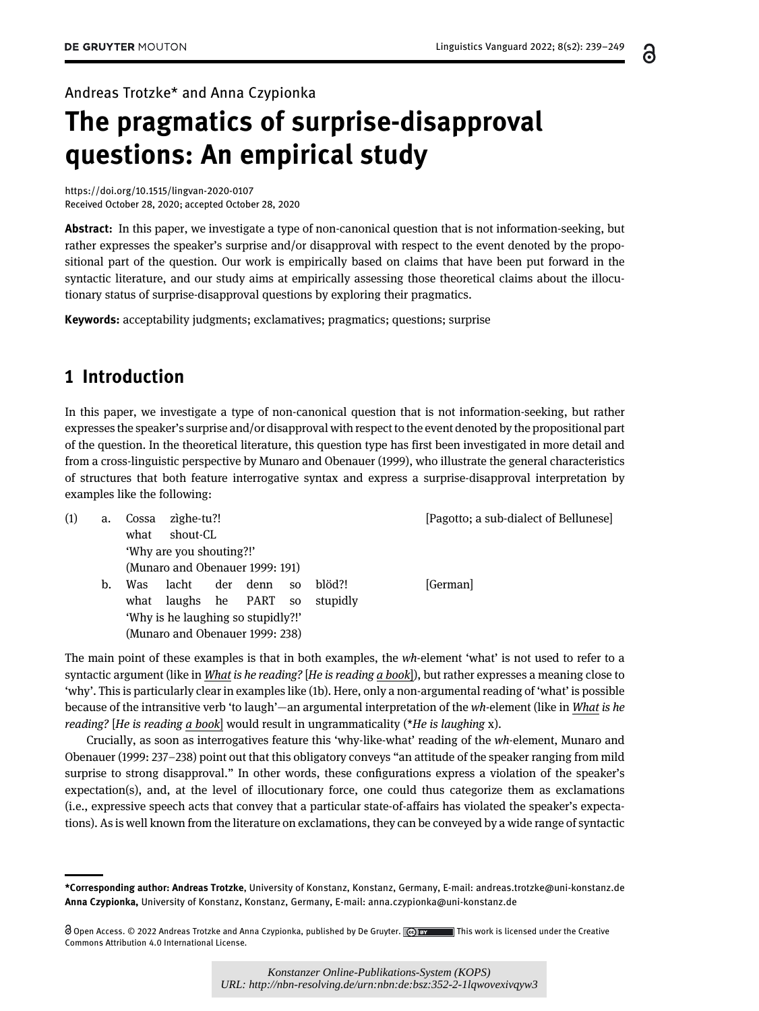6

Andreas Trotzke\* and Anna Czypionka

# The pragmatics of surprise-disapproval questions: An empirical study

<https://doi.org/10.1515/lingvan-2020-0107> Received October 28, 2020; accepted October 28, 2020

Abstract: In this paper, we investigate a type of non-canonical question that is not information-seeking, but rather expresses the speaker's surprise and/or disapproval with respect to the event denoted by the propositional part of the question. Our work is empirically based on claims that have been put forward in the syntactic literature, and our study aims at empirically assessing those theoretical claims about the illocutionary status of surprise-disapproval questions by exploring their pragmatics.

Keywords: acceptability judgments; exclamatives; pragmatics; questions; surprise

# <span id="page-0-0"></span>1 Introduction

In this paper, we investigate a type of non-canonical question that is not information-seeking, but rather expresses the speaker's surprise and/or disapproval with respect to the event denoted by the propositional part of the question. In the theoretical literature, this question type has first been investigated in more detail and from a cross-linguistic perspective by [Munaro and Obenauer \(1999\)](#page-9-0), who illustrate the general characteristics of structures that both feature interrogative syntax and express a surprise-disapproval interpretation by examples like the following:

| (1) | a. | zighe-tu?!<br>Cossa<br>shout-CL<br>what |                |     |      |           | [Pagotto; a sub-dialect of Bellunese] |          |
|-----|----|-----------------------------------------|----------------|-----|------|-----------|---------------------------------------|----------|
|     |    | 'Why are you shouting?!'                |                |     |      |           |                                       |          |
|     |    | (Munaro and Obenauer 1999: 191)         |                |     |      |           |                                       |          |
|     | b. | Was                                     | lacht          | der | denn | <b>SO</b> | blöd?!                                | [German] |
|     |    | what                                    | laughs he PART |     |      | <b>SO</b> | stupidly                              |          |
|     |    | 'Why is he laughing so stupidly?!'      |                |     |      |           |                                       |          |
|     |    | (Munaro and Obenauer 1999: 238)         |                |     |      |           |                                       |          |

The main point of these examples is that in both examples, the wh-element 'what' is not used to refer to a syntactic argument (like in What is he reading? [He is reading a book]), but rather expresses a meaning close to 'why'. This is particularly clear in examples like (1b). Here, only a non-argumental reading of 'what' is possible because of the intransitive verb 'to laugh'—an argumental interpretation of the wh-element (like in What is he reading? [He is reading a book] would result in ungrammaticality (\*He is laughing x).

Crucially, as soon as interrogatives feature this 'why-like-what' reading of the wh-element, [Munaro and](#page-9-0) [Obenauer \(1999](#page-9-0): 237–238) point out that this obligatory conveys "an attitude of the speaker ranging from mild surprise to strong disapproval." In other words, these configurations express a violation of the speaker's expectation(s), and, at the level of illocutionary force, one could thus categorize them as exclamations (i.e., expressive speech acts that convey that a particular state-of-affairs has violated the speaker's expectations). As is well known from the literature on exclamations, they can be conveyed by a wide range of syntactic

<sup>\*</sup>Corresponding author: Andreas Trotzke, University of Konstanz, Konstanz, Germany, E-mail: [andreas.trotzke@uni-konstanz.de](mailto:andreas.trotzke@uni-konstanz.de) Anna Czypionka, University of Konstanz, Konstanz, Germany, E-mail: [anna.czypionka@uni-konstanz.de](mailto:anna.czypionka@uni-konstanz.de)

Open Access. © 2022 Andreas Trotzke and Anna Czypionka, published by De Gruyter. This work is licensed under the Creative Commons Attribution 4.0 International License.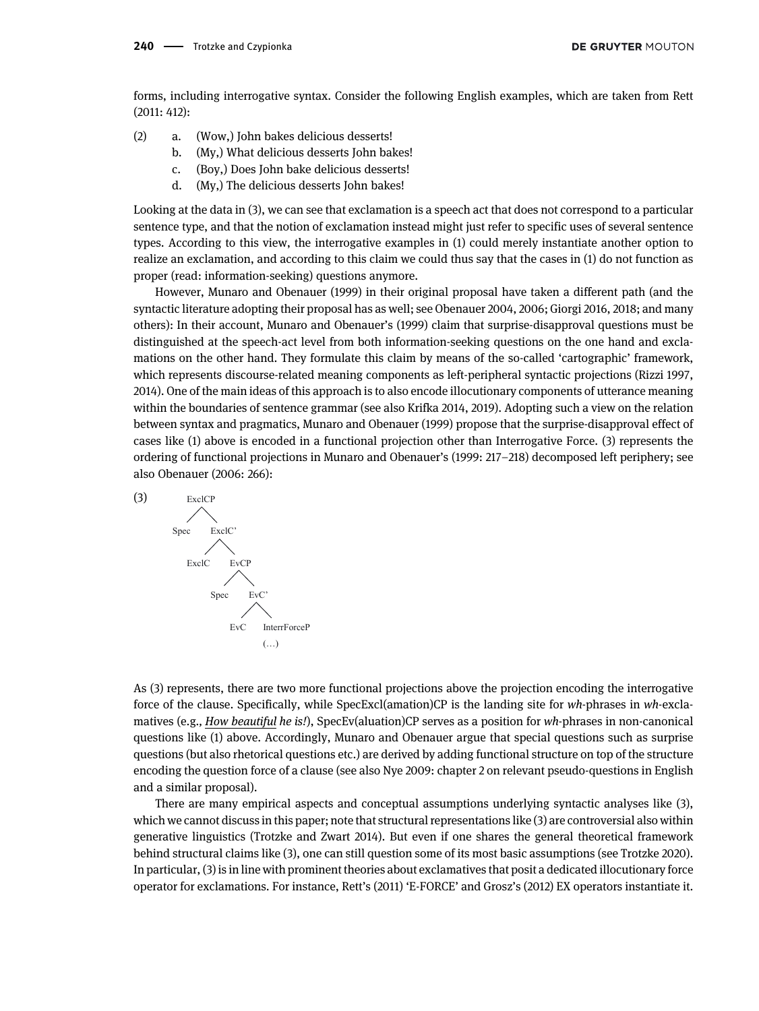forms, including interrogative syntax. Consider the following English examples, which are taken from [Rett](#page-9-1) [\(2011](#page-9-1): 412):

- (2) a. (Wow,) John bakes delicious desserts!
	- b. (My,) What delicious desserts John bakes!
	- c. (Boy,) Does John bake delicious desserts!
	- d. (My,) The delicious desserts John bakes!

Looking at the data in (3), we can see that exclamation is a speech act that does not correspond to a particular sentence type, and that the notion of exclamation instead might just refer to specific uses of several sentence types. According to this view, the interrogative examples in (1) could merely instantiate another option to realize an exclamation, and according to this claim we could thus say that the cases in (1) do not function as proper (read: information-seeking) questions anymore.

However, [Munaro and Obenauer \(1999\)](#page-9-0) in their original proposal have taken a different path (and the syntactic literature adopting their proposal has as well; see [Obenauer 2004,](#page-9-2) [2006](#page-9-3); [Giorgi 2016,](#page-9-4) [2018;](#page-9-5) and many others): In their account, [Munaro and Obenauer](#page-9-0)'s (1999) claim that surprise-disapproval questions must be distinguished at the speech-act level from both information-seeking questions on the one hand and exclamations on the other hand. They formulate this claim by means of the so-called 'cartographic' framework, which represents discourse-related meaning components as left-peripheral syntactic projections [\(Rizzi 1997](#page-9-6), [2014](#page-10-0)). One of the main ideas of this approach is to also encode illocutionary components of utterance meaning within the boundaries of sentence grammar (see also [Krifka 2014](#page-9-7), [2019](#page-9-8)). Adopting such a view on the relation between syntax and pragmatics, [Munaro and Obenauer \(1999\)](#page-9-0) propose that the surprise-disapproval effect of cases like (1) above is encoded in a functional projection other than Interrogative Force. (3) represents the ordering of functional projections in [Munaro and Obenauer](#page-9-0)'s (1999: 217–218) decomposed left periphery; see also [Obenauer \(2006:](#page-9-3) 266):



As (3) represents, there are two more functional projections above the projection encoding the interrogative force of the clause. Specifically, while SpecExcl(amation)CP is the landing site for wh-phrases in wh-exclamatives (e.g., How beautiful he is!), SpecEv(aluation)CP serves as a position for wh-phrases in non-canonical questions like (1) above. Accordingly, Munaro and Obenauer argue that special questions such as surprise questions (but also rhetorical questions etc.) are derived by adding functional structure on top of the structure encoding the question force of a clause (see also [Nye 2009](#page-9-9): chapter 2 on relevant pseudo-questions in English and a similar proposal).

There are many empirical aspects and conceptual assumptions underlying syntactic analyses like (3), which we cannot discuss in this paper; note that structural representations like (3) are controversial also within generative linguistics [\(Trotzke and Zwart 2014\)](#page-10-1). But even if one shares the general theoretical framework behind structural claims like (3), one can still question some of its most basic assumptions (see [Trotzke 2020\)](#page-10-2). In particular, (3) is in line with prominent theories about exclamatives that posit a dedicated illocutionary force operator for exclamations. For instance, Rett'[s \(2011\)](#page-9-1) 'E-FORCE' and Grosz'[s \(2012\)](#page-9-10) EX operators instantiate it.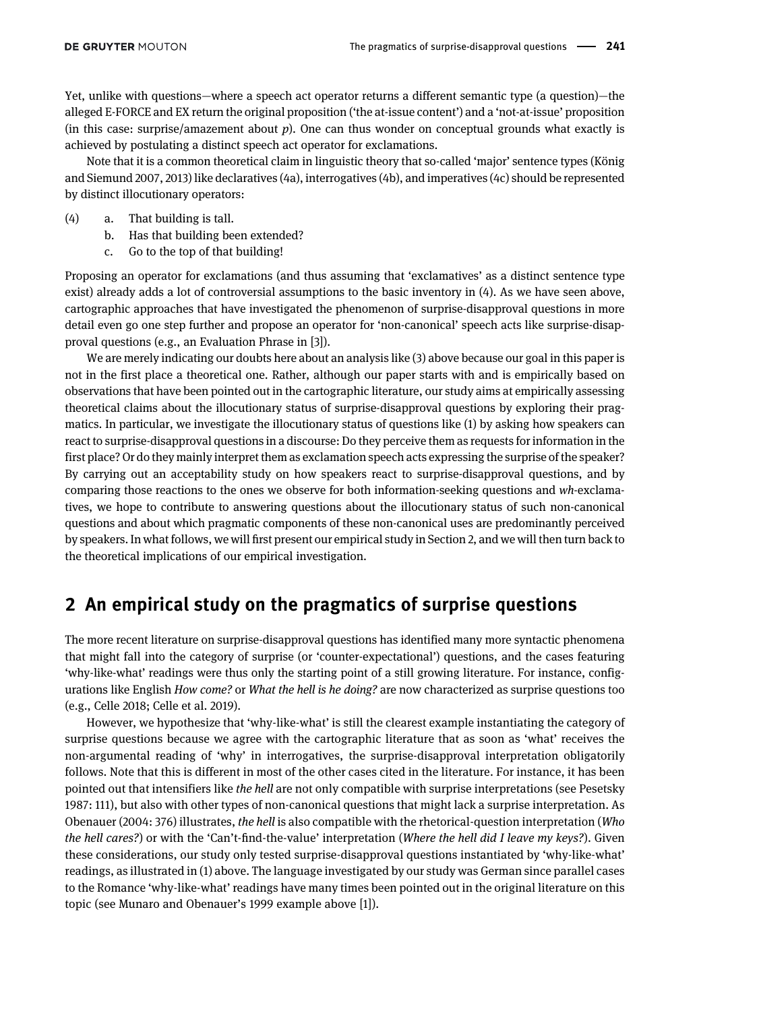Yet, unlike with questions—where a speech act operator returns a different semantic type (a question)—the alleged E-FORCE and EX return the original proposition ('the at-issue content') and a 'not-at-issue' proposition (in this case: surprise/amazement about  $p$ ). One can thus wonder on conceptual grounds what exactly is achieved by postulating a distinct speech act operator for exclamations.

Note that it is a common theoretical claim in linguistic theory that so-called 'major' sentence types ([König](#page-9-11) [and Siemund 2007](#page-9-11), [2013\)](#page-9-12) like declaratives (4a), interrogatives (4b), and imperatives (4c) should be represented by distinct illocutionary operators:

- (4) a. That building is tall.
	- b. Has that building been extended?
	- c. Go to the top of that building!

Proposing an operator for exclamations (and thus assuming that 'exclamatives' as a distinct sentence type exist) already adds a lot of controversial assumptions to the basic inventory in (4). As we have seen above, cartographic approaches that have investigated the phenomenon of surprise-disapproval questions in more detail even go one step further and propose an operator for 'non-canonical' speech acts like surprise-disapproval questions (e.g., an Evaluation Phrase in [3]).

We are merely indicating our doubts here about an analysis like (3) above because our goal in this paper is not in the first place a theoretical one. Rather, although our paper starts with and is empirically based on observations that have been pointed out in the cartographic literature, our study aims at empirically assessing theoretical claims about the illocutionary status of surprise-disapproval questions by exploring their pragmatics. In particular, we investigate the illocutionary status of questions like (1) by asking how speakers can react to surprise-disapproval questions in a discourse: Do they perceive them as requests for information in the first place? Or do they mainly interpret them as exclamation speech acts expressing the surprise of the speaker? By carrying out an acceptability study on how speakers react to surprise-disapproval questions, and by comparing those reactions to the ones we observe for both information-seeking questions and wh-exclamatives, we hope to contribute to answering questions about the illocutionary status of such non-canonical questions and about which pragmatic components of these non-canonical uses are predominantly perceived by speakers. In what follows, we will first present our empirical study in [Section 2,](#page-2-0) and we will then turn back to the theoretical implications of our empirical investigation.

# <span id="page-2-0"></span>2 An empirical study on the pragmatics of surprise questions

The more recent literature on surprise-disapproval questions has identified many more syntactic phenomena that might fall into the category of surprise (or 'counter-expectational') questions, and the cases featuring 'why-like-what' readings were thus only the starting point of a still growing literature. For instance, configurations like English How come? or What the hell is he doing? are now characterized as surprise questions too (e.g., [Celle 2018;](#page-9-13) [Celle et al. 2019](#page-9-14)).

However, we hypothesize that 'why-like-what' is still the clearest example instantiating the category of surprise questions because we agree with the cartographic literature that as soon as 'what' receives the non-argumental reading of 'why' in interrogatives, the surprise-disapproval interpretation obligatorily follows. Note that this is different in most of the other cases cited in the literature. For instance, it has been pointed out that intensifiers like the hell are not only compatible with surprise interpretations (see [Pesetsky](#page-9-15) [1987:](#page-9-15) 111), but also with other types of non-canonical questions that might lack a surprise interpretation. As [Obenauer \(2004:](#page-9-2) 376) illustrates, the hell is also compatible with the rhetorical-question interpretation (Who the hell cares?) or with the 'Can't-find-the-value' interpretation (Where the hell did I leave my keys?). Given these considerations, our study only tested surprise-disapproval questions instantiated by 'why-like-what' readings, as illustrated in (1) above. The language investigated by our study was German since parallel cases to the Romance 'why-like-what' readings have many times been pointed out in the original literature on this topic (see [Munaro and Obenauer](#page-9-0)'s 1999 example above [1]).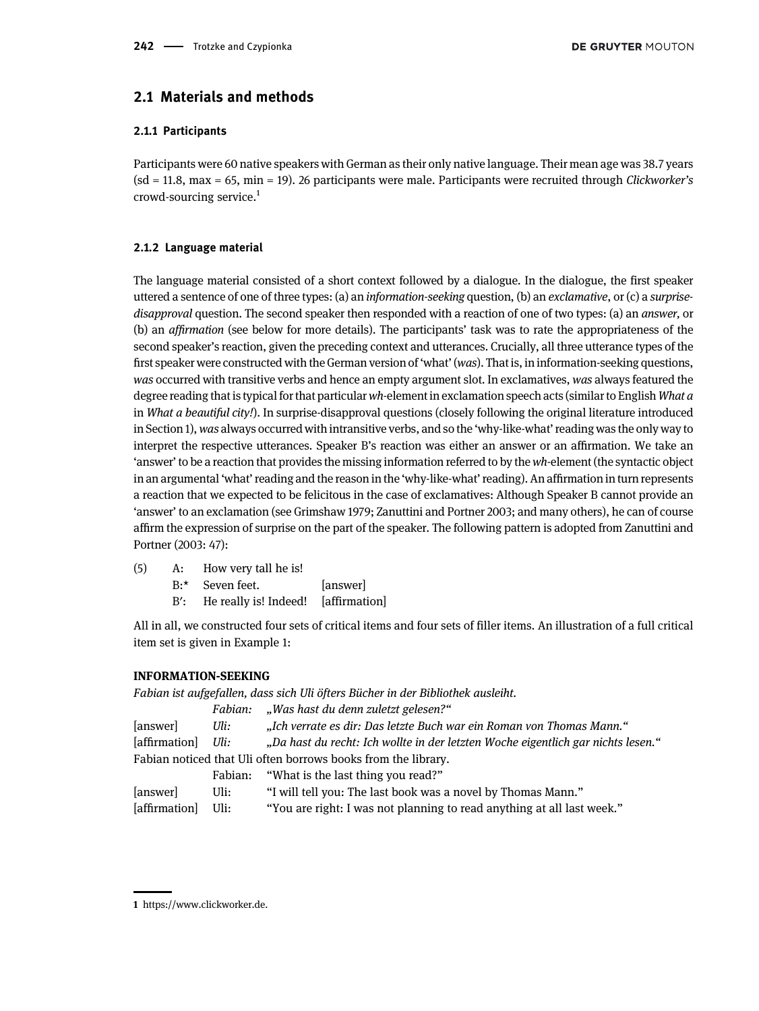### 2.1 Materials and methods

#### 2.1.1 Participants

Participants were 60 native speakers with German as their only native language. Their mean age was 38.7 years (sd = 11.8, max = 65, min = 19). 26 participants were male. Participants were recruited through Clickworker's crowd-sourcing service.1

#### 2.1.2 Language material

The language material consisted of a short context followed by a dialogue. In the dialogue, the first speaker uttered a sentence of one of three types: (a) an information-seeking question, (b) an exclamative, or (c) a surprisedisapproval question. The second speaker then responded with a reaction of one of two types: (a) an answer, or (b) an affirmation (see below for more details). The participants' task was to rate the appropriateness of the second speaker's reaction, given the preceding context and utterances. Crucially, all three utterance types of the first speaker were constructed with the German version of'what'(was). That is, in information-seeking questions, was occurred with transitive verbs and hence an empty argument slot. In exclamatives, was always featured the degree reading that is typical for that particular wh-element in exclamation speech acts (similar to English What a in What a beautiful city!). In surprise-disapproval questions (closely following the original literature introduced in [Section 1](#page-0-0)), was always occurred with intransitive verbs, and so the 'why-like-what' reading was the only way to interpret the respective utterances. Speaker B's reaction was either an answer or an affirmation. We take an 'answer' to be a reaction that provides the missing information referred to by thewh-element (the syntactic object in an argumental 'what'reading and the reason in the 'why-like-what'reading). An affirmation in turn represents a reaction that we expected to be felicitous in the case of exclamatives: Although Speaker B cannot provide an 'answer' to an exclamation (see [Grimshaw 1979;](#page-9-16) [Zanuttini and Portner 2003;](#page-10-3) and many others), he can of course affirm the expression of surprise on the part of the speaker. The following pattern is adopted from [Zanuttini and](#page-10-3) [Portner \(2003:](#page-10-3) 47):

- (5) A: How very tall he is!
	- B:\* Seven feet. [answer]
	- B′: He really is! Indeed! [affirmation]

All in all, we constructed four sets of critical items and four sets of filler items. An illustration of a full critical item set is given in Example 1:

#### INFORMATION-SEEKING

Fabian ist aufgefallen, dass sich Uli öfters Bücher in der Bibliothek ausleiht.

|               | Fabian: | "Was hast du denn zuletzt gelesen?"                                              |
|---------------|---------|----------------------------------------------------------------------------------|
| [answer]      | Uli:    | "Ich verrate es dir: Das letzte Buch war ein Roman von Thomas Mann."             |
| [affirmation] | Uli:    | "Da hast du recht: Ich wollte in der letzten Woche eigentlich gar nichts lesen." |
|               |         | Fabian noticed that Uli often borrows books from the library.                    |
|               |         | Fabian: "What is the last thing you read?"                                       |

| answer | Uli: | "I will tell you: The last book was a novel by Thomas Mann." |  |
|--------|------|--------------------------------------------------------------|--|
|--------|------|--------------------------------------------------------------|--|

[affirmation] Uli: "You are right: I was not planning to read anything at all last week."

<sup>1</sup> [https://www.clickworker.de](https://www.clickworker.de/).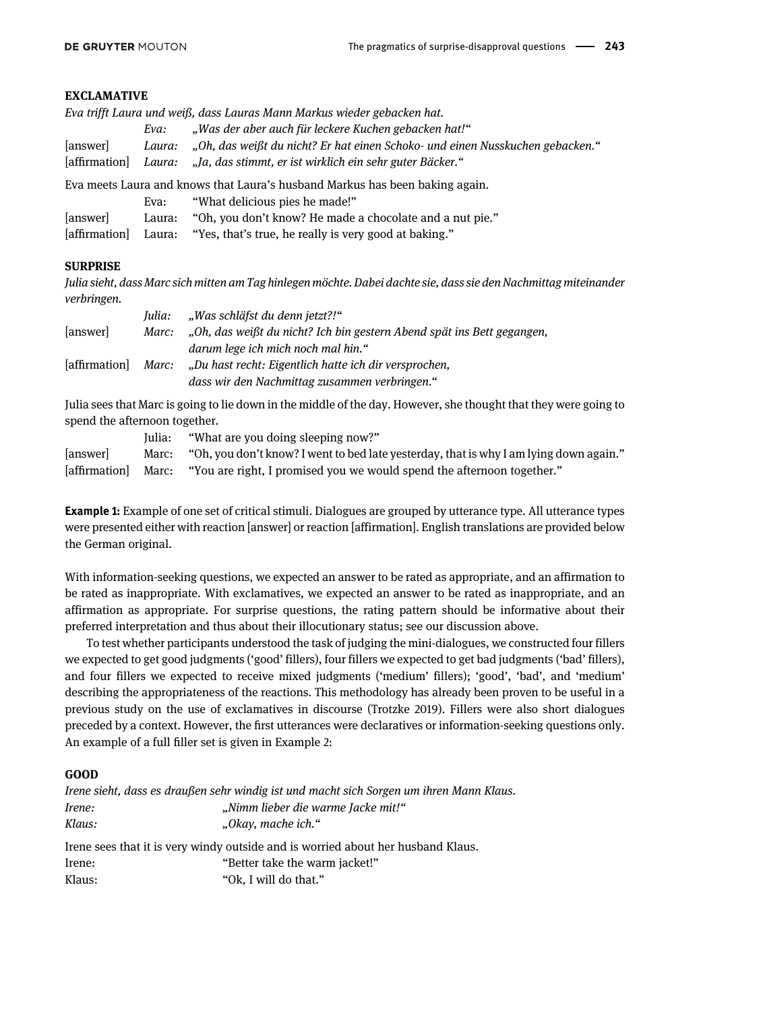#### EXCLAMATIVE

|          |        | Eva trifft Laura und weiß, dass Lauras Mann Markus wieder gebacken hat.       |
|----------|--------|-------------------------------------------------------------------------------|
|          | Eva:   | "Was der aber auch für leckere Kuchen gebacken hat!"                          |
| [answer] | Laura: | "Oh, das weißt du nicht? Er hat einen Schoko- und einen Nusskuchen gebacken." |
|          |        | [affirmation] Laura: "Ja, das stimmt, er ist wirklich ein sehr guter Bäcker." |
|          |        | Eva meets Laura and knows that Laura's husband Markus has been baking again.  |
|          | Eva:   | "What delicious pies he made!"                                                |

| [answer] | Laura: | "Oh, you don't know? He made a chocolate and a nut pie." |  |  |
|----------|--------|----------------------------------------------------------|--|--|
|          |        |                                                          |  |  |

| [affirmation] Laura: "Yes, that's true, he really is very good at baking." |  |  |  |  |
|----------------------------------------------------------------------------|--|--|--|--|
|----------------------------------------------------------------------------|--|--|--|--|

#### **SURPRISE**

Julia sieht, dass Marc sich mitten am Tag hinlegen möchte. Dabei dachte sie, dass sie den Nachmittag miteinander verbringen.

|             | Julia: | "Was schläfst du denn jetzt?!"                                         |
|-------------|--------|------------------------------------------------------------------------|
| [answer]    | Marc:  | "Oh, das weißt du nicht? Ich bin gestern Abend spät ins Bett gegangen, |
|             |        | darum lege ich mich noch mal hin."                                     |
| affirmation | Marc:  | "Du hast recht: Eigentlich hatte ich dir versprochen,                  |
|             |        | dass wir den Nachmittag zusammen verbringen."                          |

Julia sees that Marc is going to lie down in the middle of the day. However, she thought that they were going to spend the afternoon together.

|                  | Julia: | "What are you doing sleeping now?"                                                     |
|------------------|--------|----------------------------------------------------------------------------------------|
| <i>s</i> answerl | Marc:  | "Oh, you don't know? I went to bed late yesterday, that is why I am lying down again." |
| [affirmation]    |        | Marc: "You are right, I promised you we would spend the afternoon together."           |

**Example 1:** Example of one set of critical stimuli. Dialogues are grouped by utterance type. All utterance types were presented either with reaction [answer] or reaction [affirmation]. English translations are provided below the German original.

With information-seeking questions, we expected an answer to be rated as appropriate, and an affirmation to be rated as inappropriate. With exclamatives, we expected an answer to be rated as inappropriate, and an affirmation as appropriate. For surprise questions, the rating pattern should be informative about their preferred interpretation and thus about their illocutionary status; see our discussion above.

To test whether participants understood the task of judging the mini-dialogues, we constructed four fillers we expected to get good judgments ('good' fillers), four fillers we expected to get bad judgments ('bad' fillers), and four fillers we expected to receive mixed judgments ('medium' fillers); 'good', 'bad', and 'medium' describing the appropriateness of the reactions. This methodology has already been proven to be useful in a previous study on the use of exclamatives in discourse ([Trotzke 2019\)](#page-10-4). Fillers were also short dialogues preceded by a context. However, the first utterances were declaratives or information-seeking questions only. An example of a full filler set is given in Example 2:

#### GOOD

Irene sieht, dass es draußen sehr windig ist und macht sich Sorgen um ihren Mann Klaus. Irene:  $\Box$ , Nimm lieber die warme Jacke mit!" Klaus: "Okay, mache ich." Irene sees that it is very windy outside and is worried about her husband Klaus. Irene: "Better take the warm jacket!" Klaus: "Ok, I will do that."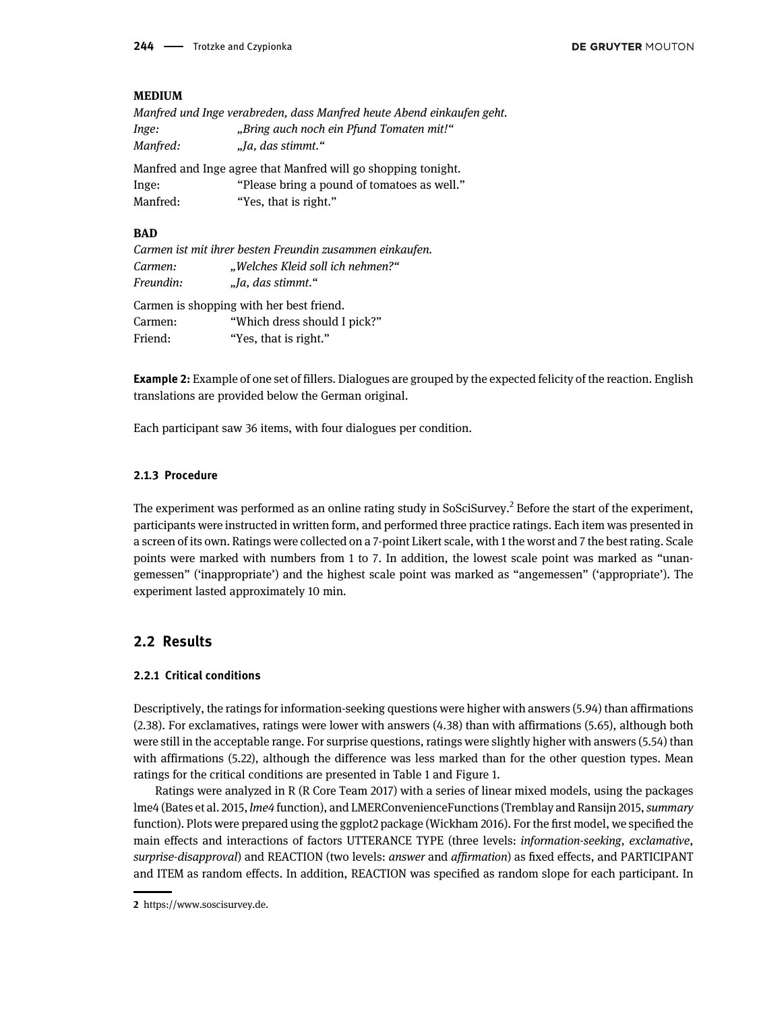#### MEDIUM

|          | Manfred und Inge verabreden, dass Manfred heute Abend einkaufen geht. |
|----------|-----------------------------------------------------------------------|
| Inge:    | "Bring auch noch ein Pfund Tomaten mit!"                              |
| Manfred: | "Ja, das stimmt."                                                     |
|          | Manfred and Inge agree that Manfred will go shopping tonight.         |
| Inge:    | "Please bring a pound of tomatoes as well."                           |

Manfred: "Yes, that is right."

#### **BAD**

|           | Carmen ist mit ihrer besten Freundin zusammen einkaufen. |
|-----------|----------------------------------------------------------|
| Carmen:   | "Welches Kleid soll ich nehmen?"                         |
| Freundin: | "Ja, das stimmt."                                        |
|           | Carmen is shopping with her best friend.                 |
| Carmen:   | "Which dress should I pick?"                             |

Friend: "Yes, that is right."

Example 2: Example of one set of fillers. Dialogues are grouped by the expected felicity of the reaction. English translations are provided below the German original.

Each participant saw 36 items, with four dialogues per condition.

#### 2.1.3 Procedure

The experiment was performed as an online rating study in SoSciSurvey.<sup>2</sup> Before the start of the experiment, participants were instructed in written form, and performed three practice ratings. Each item was presented in a screen of its own. Ratings were collected on a 7-point Likert scale, with 1 the worst and 7 the best rating. Scale points were marked with numbers from 1 to 7. In addition, the lowest scale point was marked as "unangemessen" ('inappropriate') and the highest scale point was marked as "angemessen" ('appropriate'). The experiment lasted approximately 10 min.

### 2.2 Results

#### 2.2.1 Critical conditions

Descriptively, the ratings for information-seeking questions were higher with answers (5.94) than affirmations (2.38). For exclamatives, ratings were lower with answers (4.38) than with affirmations (5.65), although both were still in the acceptable range. For surprise questions, ratings were slightly higher with answers (5.54) than with affirmations (5.22), although the difference was less marked than for the other question types. Mean ratings for the critical conditions are presented in [Table 1](#page-6-0) and [Figure 1](#page-6-1).

Ratings were analyzed in R [\(R Core Team 2017\)](#page-9-17) with a series of linear mixed models, using the packages lme4 ([Bates et al. 2015,](#page-9-18) lme4 function), and LMERConvenienceFunctions [\(Tremblay and Ransijn 2015](#page-10-5), summary function). Plots were prepared using the ggplot2 package [\(Wickham 2016\)](#page-10-6). For the first model, we specified the main effects and interactions of factors UTTERANCE TYPE (three levels: information-seeking, exclamative, surprise-disapproval) and REACTION (two levels: answer and affirmation) as fixed effects, and PARTICIPANT and ITEM as random effects. In addition, REACTION was specified as random slope for each participant. In

<sup>2</sup> [https://www.soscisurvey.de.](https://www.soscisurvey.de)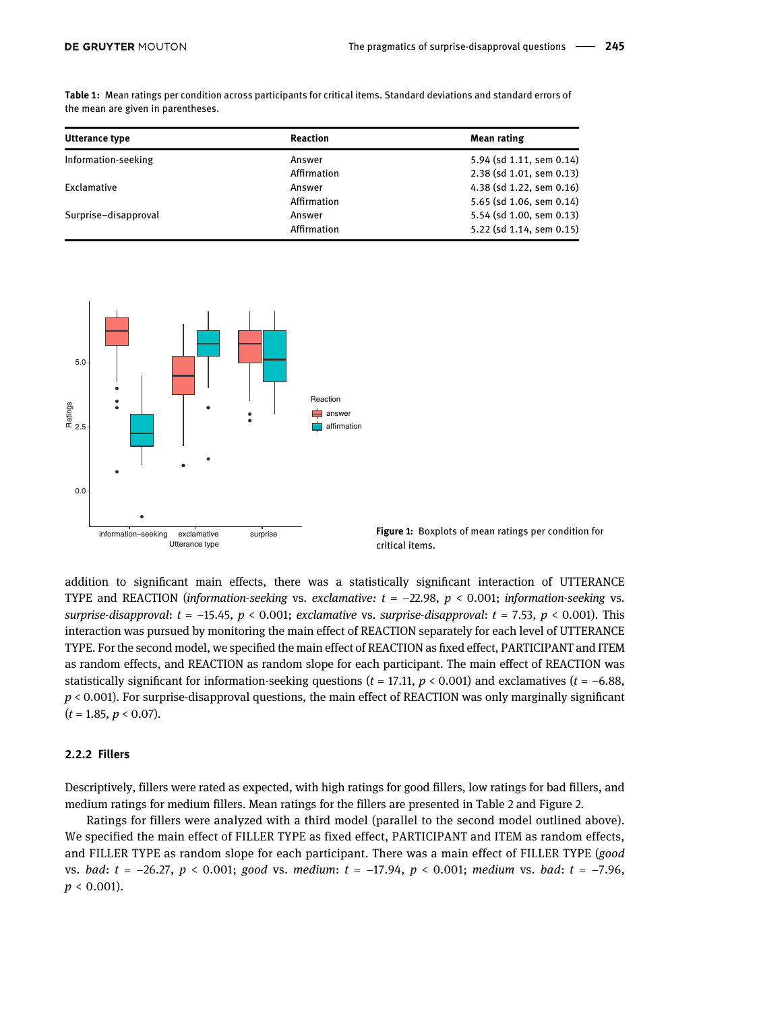| Utterance type       | <b>Reaction</b> | Mean rating              |
|----------------------|-----------------|--------------------------|
| Information-seeking  | Answer          | 5.94 (sd 1.11, sem 0.14) |
|                      | Affirmation     | 2.38 (sd 1.01, sem 0.13) |
| Exclamative          | Answer          | 4.38 (sd 1.22, sem 0.16) |
|                      | Affirmation     | 5.65 (sd 1.06, sem 0.14) |
| Surprise-disapproval | Answer          | 5.54 (sd 1.00, sem 0.13) |
|                      | Affirmation     | 5.22 (sd 1.14, sem 0.15) |

<span id="page-6-0"></span>Table 1: Mean ratings per condition across participants for critical items. Standard deviations and standard errors of the mean are given in parentheses.



<span id="page-6-1"></span>Figure 1: Boxplots of mean ratings per condition for critical items.

addition to significant main effects, there was a statistically significant interaction of UTTERANCE TYPE and REACTION (information-seeking vs. exclamative:  $t = -22.98$ ,  $p < 0.001$ ; information-seeking vs. surprise-disapproval:  $t = -15.45$ ,  $p < 0.001$ ; exclamative vs. surprise-disapproval:  $t = 7.53$ ,  $p < 0.001$ ). This interaction was pursued by monitoring the main effect of REACTION separately for each level of UTTERANCE TYPE. For the second model, we specified the main effect of REACTION as fixed effect, PARTICIPANT and ITEM as random effects, and REACTION as random slope for each participant. The main effect of REACTION was statistically significant for information-seeking questions ( $t = 17.11$ ,  $p < 0.001$ ) and exclamatives ( $t = -6.88$ ,  $p < 0.001$ ). For surprise-disapproval questions, the main effect of REACTION was only marginally significant  $(t = 1.85, p < 0.07)$ .

#### 2.2.2 Fillers

Descriptively, fillers were rated as expected, with high ratings for good fillers, low ratings for bad fillers, and medium ratings for medium fillers. Mean ratings for the fillers are presented in [Table 2](#page-7-0) and [Figure 2.](#page-7-1)

Ratings for fillers were analyzed with a third model (parallel to the second model outlined above). We specified the main effect of FILLER TYPE as fixed effect, PARTICIPANT and ITEM as random effects, and FILLER TYPE as random slope for each participant. There was a main effect of FILLER TYPE (good vs. bad: t = -26.27, p < 0.001; good vs. medium: t = -17.94, p < 0.001; medium vs. bad: t = -7.96,  $p < 0.001$ ).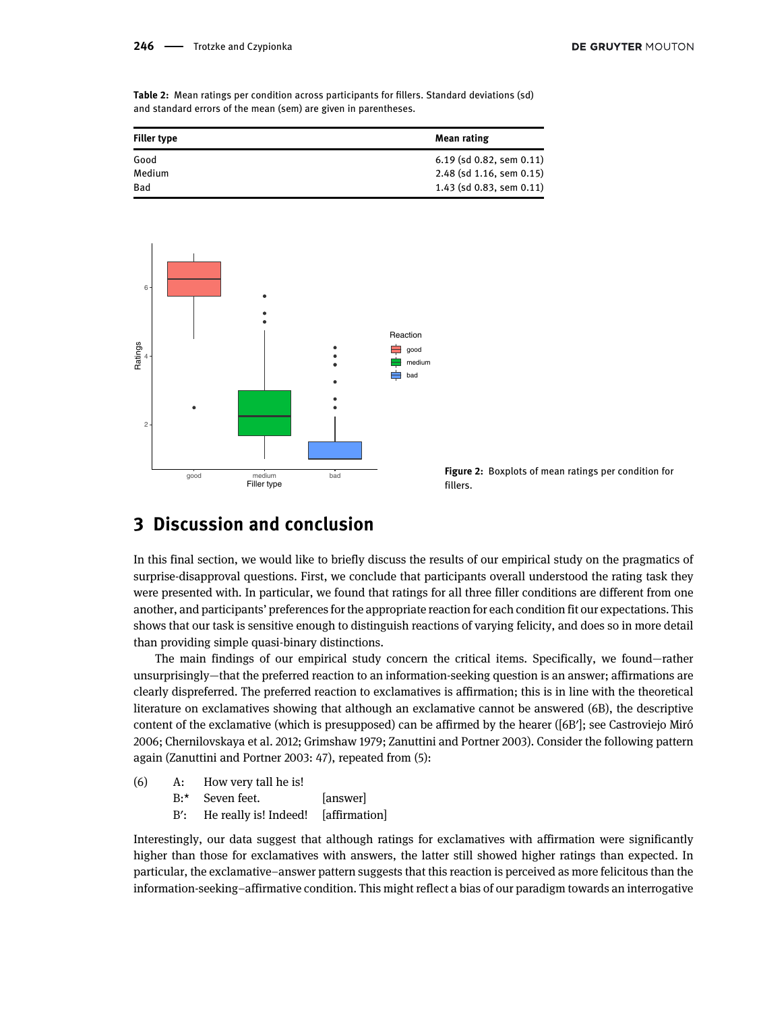<span id="page-7-0"></span>Table 2: Mean ratings per condition across participants for fillers. Standard deviations (sd) and standard errors of the mean (sem) are given in parentheses.

| <b>Filler type</b> | <b>Mean rating</b>         |
|--------------------|----------------------------|
| Good               | $6.19$ (sd 0.82, sem 0.11) |
| Medium             | 2.48 (sd 1.16, sem 0.15)   |
| Bad                | $1.43$ (sd 0.83, sem 0.11) |



<span id="page-7-1"></span>

### 3 Discussion and conclusion

In this final section, we would like to briefly discuss the results of our empirical study on the pragmatics of surprise-disapproval questions. First, we conclude that participants overall understood the rating task they were presented with. In particular, we found that ratings for all three filler conditions are different from one another, and participants' preferences for the appropriate reaction for each condition fit our expectations. This shows that our task is sensitive enough to distinguish reactions of varying felicity, and does so in more detail than providing simple quasi-binary distinctions.

The main findings of our empirical study concern the critical items. Specifically, we found—rather unsurprisingly—that the preferred reaction to an information-seeking question is an answer; affirmations are clearly dispreferred. The preferred reaction to exclamatives is affirmation; this is in line with the theoretical literature on exclamatives showing that although an exclamative cannot be answered (6B), the descriptive content of the exclamative (which is presupposed) can be affirmed by the hearer ([6B′]; see [Castroviejo Miró](#page-9-19) [2006;](#page-9-19) [Chernilovskaya et al. 2012;](#page-9-20) [Grimshaw 1979](#page-9-16); [Zanuttini and Portner 2003\)](#page-10-3). Consider the following pattern again [\(Zanuttini and Portner 2003:](#page-10-3) 47), repeated from (5):

- (6) A: How very tall he is!
	- B:\* Seven feet. [answer]
	- B': He really is! Indeed! [affirmation]

Interestingly, our data suggest that although ratings for exclamatives with affirmation were significantly higher than those for exclamatives with answers, the latter still showed higher ratings than expected. In particular, the exclamative–answer pattern suggests that this reaction is perceived as more felicitous than the information-seeking–affirmative condition. This might reflect a bias of our paradigm towards an interrogative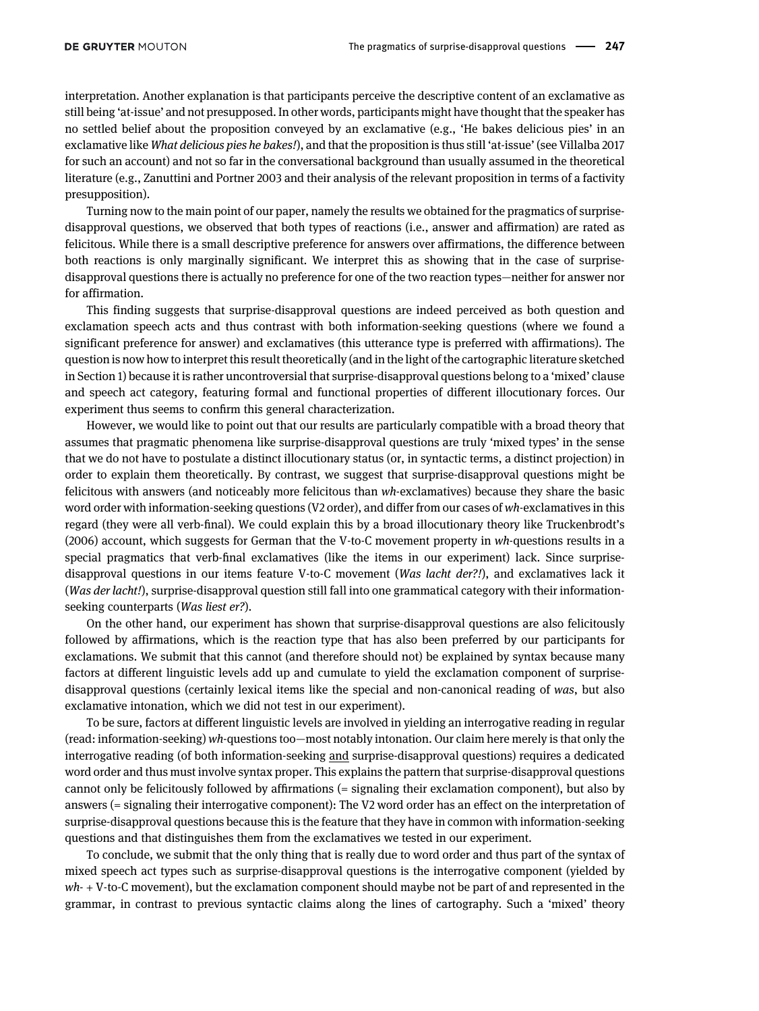interpretation. Another explanation is that participants perceive the descriptive content of an exclamative as still being 'at-issue' and not presupposed. In other words, participants might have thought that the speaker has no settled belief about the proposition conveyed by an exclamative (e.g., 'He bakes delicious pies' in an exclamative like What delicious pies he bakes!), and that the proposition is thus still 'at-issue' (see [Villalba 2017](#page-10-7) for such an account) and not so far in the conversational background than usually assumed in the theoretical literature (e.g., [Zanuttini and Portner 2003](#page-10-3) and their analysis of the relevant proposition in terms of a factivity presupposition).

Turning now to the main point of our paper, namely the results we obtained for the pragmatics of surprisedisapproval questions, we observed that both types of reactions (i.e., answer and affirmation) are rated as felicitous. While there is a small descriptive preference for answers over affirmations, the difference between both reactions is only marginally significant. We interpret this as showing that in the case of surprisedisapproval questions there is actually no preference for one of the two reaction types—neither for answer nor for affirmation.

This finding suggests that surprise-disapproval questions are indeed perceived as both question and exclamation speech acts and thus contrast with both information-seeking questions (where we found a significant preference for answer) and exclamatives (this utterance type is preferred with affirmations). The question is now how to interpret this result theoretically (and in the light of the cartographic literature sketched in [Section 1](#page-0-0)) because it is rather uncontroversial that surprise-disapproval questions belong to a 'mixed' clause and speech act category, featuring formal and functional properties of different illocutionary forces. Our experiment thus seems to confirm this general characterization.

However, we would like to point out that our results are particularly compatible with a broad theory that assumes that pragmatic phenomena like surprise-disapproval questions are truly 'mixed types' in the sense that we do not have to postulate a distinct illocutionary status (or, in syntactic terms, a distinct projection) in order to explain them theoretically. By contrast, we suggest that surprise-disapproval questions might be felicitous with answers (and noticeably more felicitous than wh-exclamatives) because they share the basic word order with information-seeking questions (V2 order), and differ from our cases of wh-exclamatives in this regard (they were all verb-final). We could explain this by a broad illocutionary theory like [Truckenbrodt](#page-10-8)'s [\(2006\)](#page-10-8) account, which suggests for German that the V-to-C movement property in wh-questions results in a special pragmatics that verb-final exclamatives (like the items in our experiment) lack. Since surprisedisapproval questions in our items feature V-to-C movement (Was lacht der?!), and exclamatives lack it (Was der lacht!), surprise-disapproval question still fall into one grammatical category with their informationseeking counterparts (Was liest er?).

On the other hand, our experiment has shown that surprise-disapproval questions are also felicitously followed by affirmations, which is the reaction type that has also been preferred by our participants for exclamations. We submit that this cannot (and therefore should not) be explained by syntax because many factors at different linguistic levels add up and cumulate to yield the exclamation component of surprisedisapproval questions (certainly lexical items like the special and non-canonical reading of was, but also exclamative intonation, which we did not test in our experiment).

To be sure, factors at different linguistic levels are involved in yielding an interrogative reading in regular (read: information-seeking) wh-questions too—most notably intonation. Our claim here merely is that only the interrogative reading (of both information-seeking and surprise-disapproval questions) requires a dedicated word order and thus must involve syntax proper. This explains the pattern that surprise-disapproval questions cannot only be felicitously followed by affirmations (= signaling their exclamation component), but also by answers (= signaling their interrogative component): The V2 word order has an effect on the interpretation of surprise-disapproval questions because this is the feature that they have in common with information-seeking questions and that distinguishes them from the exclamatives we tested in our experiment.

To conclude, we submit that the only thing that is really due to word order and thus part of the syntax of mixed speech act types such as surprise-disapproval questions is the interrogative component (yielded by  $wh-+V$ -to-C movement), but the exclamation component should maybe not be part of and represented in the grammar, in contrast to previous syntactic claims along the lines of cartography. Such a 'mixed' theory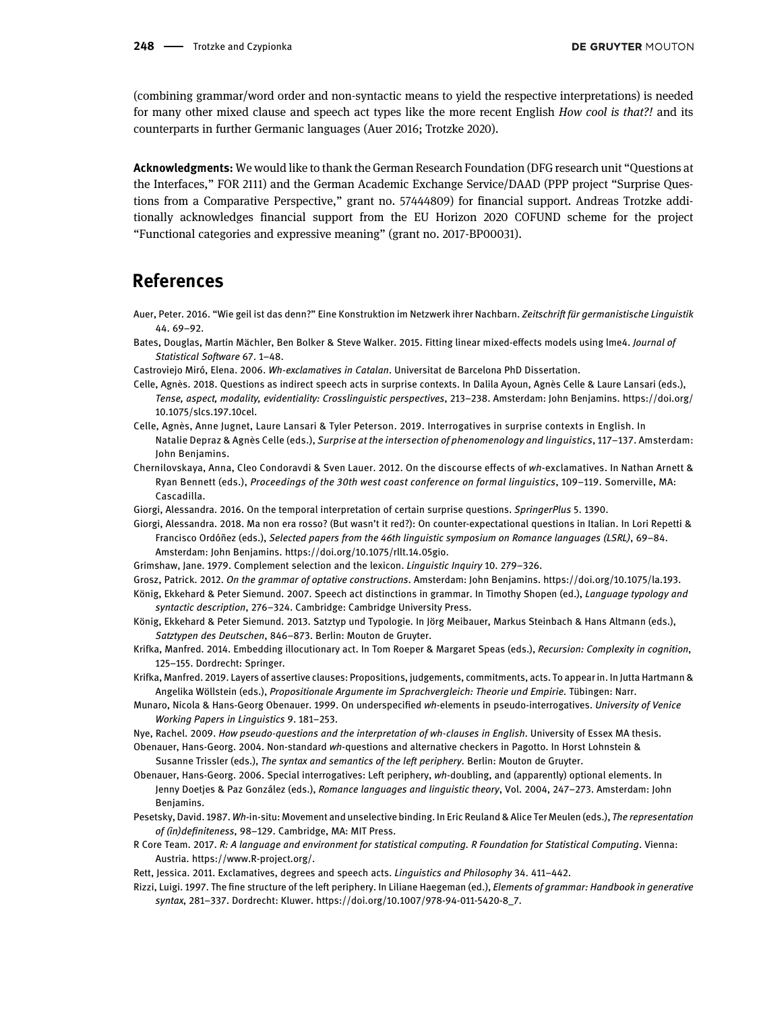(combining grammar/word order and non-syntactic means to yield the respective interpretations) is needed for many other mixed clause and speech act types like the more recent English How cool is that?! and its counterparts in further Germanic languages [\(Auer 2016;](#page-9-21) [Trotzke 2020\)](#page-10-2).

Acknowledgments: We would like to thank the German Research Foundation (DFG research unit "Questions at the Interfaces," FOR 2111) and the German Academic Exchange Service/DAAD (PPP project "Surprise Questions from a Comparative Perspective," grant no. 57444809) for financial support. Andreas Trotzke additionally acknowledges financial support from the EU Horizon 2020 COFUND scheme for the project "Functional categories and expressive meaning" (grant no. 2017-BP00031).

### References

- <span id="page-9-21"></span>Auer, Peter. 2016. "Wie geil ist das denn?" Eine Konstruktion im Netzwerk ihrer Nachbarn. Zeitschrift für germanistische Linguistik 44. 69–92.
- <span id="page-9-18"></span>Bates, Douglas, Martin Mächler, Ben Bolker & Steve Walker. 2015. Fitting linear mixed-effects models using lme4. Journal of Statistical Software 67. 1–48.
- <span id="page-9-19"></span><span id="page-9-13"></span>Castroviejo Miró, Elena. 2006. Wh-exclamatives in Catalan. Universitat de Barcelona PhD Dissertation.
- Celle, Agnès. 2018. Questions as indirect speech acts in surprise contexts. In Dalila Ayoun, Agnès Celle & Laure Lansari (eds.), Tense, aspect, modality, evidentiality: Crosslinguistic perspectives, 213–238. Amsterdam: John Benjamins. [https://doi.org/](https://doi.org/10.1075/slcs.197.10cel) [10.1075/slcs.197.10cel.](https://doi.org/10.1075/slcs.197.10cel)
- <span id="page-9-14"></span>Celle, Agnès, Anne Jugnet, Laure Lansari & Tyler Peterson. 2019. Interrogatives in surprise contexts in English. In Natalie Depraz & Agnès Celle (eds.), Surprise at the intersection of phenomenology and linguistics, 117-137. Amsterdam: John Benjamins.
- <span id="page-9-20"></span>Chernilovskaya, Anna, Cleo Condoravdi & Sven Lauer. 2012. On the discourse effects of wh-exclamatives. In Nathan Arnett & Ryan Bennett (eds.), Proceedings of the 30th west coast conference on formal linguistics, 109–119. Somerville, MA: Cascadilla.
- <span id="page-9-4"></span>Giorgi, Alessandra. 2016. On the temporal interpretation of certain surprise questions. SpringerPlus 5. 1390.
- <span id="page-9-5"></span>Giorgi, Alessandra. 2018. Ma non era rosso? (But wasn't it red?): On counter-expectational questions in Italian. In Lori Repetti & Francisco Ordóñez (eds.), Selected papers from the 46th linguistic symposium on Romance languages (LSRL), 69–84. Amsterdam: John Benjamins.<https://doi.org/10.1075/rllt.14.05gio>.
- <span id="page-9-16"></span>Grimshaw, Jane. 1979. Complement selection and the lexicon. Linguistic Inquiry 10. 279–326.
- <span id="page-9-10"></span>Grosz, Patrick. 2012. On the grammar of optative constructions. Amsterdam: John Benjamins.<https://doi.org/10.1075/la.193>.
- <span id="page-9-11"></span>König, Ekkehard & Peter Siemund. 2007. Speech act distinctions in grammar. In Timothy Shopen (ed.), Language typology and syntactic description, 276–324. Cambridge: Cambridge University Press.
- <span id="page-9-12"></span>König, Ekkehard & Peter Siemund. 2013. Satztyp und Typologie. In Jörg Meibauer, Markus Steinbach & Hans Altmann (eds.), Satztypen des Deutschen, 846–873. Berlin: Mouton de Gruyter.
- <span id="page-9-7"></span>Krifka, Manfred. 2014. Embedding illocutionary act. In Tom Roeper & Margaret Speas (eds.), Recursion: Complexity in cognition, 125–155. Dordrecht: Springer.
- <span id="page-9-8"></span>Krifka, Manfred. 2019. Layers of assertive clauses: Propositions, judgements, commitments, acts. To appear in. In Jutta Hartmann & Angelika Wöllstein (eds.), Propositionale Argumente im Sprachvergleich: Theorie und Empirie. Tübingen: Narr.
- <span id="page-9-0"></span>Munaro, Nicola & Hans-Georg Obenauer. 1999. On underspecified wh-elements in pseudo-interrogatives. University of Venice Working Papers in Linguistics 9. 181–253.
- <span id="page-9-9"></span><span id="page-9-2"></span>Nye, Rachel. 2009. How pseudo-questions and the interpretation of wh-clauses in English. University of Essex MA thesis.
- Obenauer, Hans-Georg. 2004. Non-standard wh-questions and alternative checkers in Pagotto. In Horst Lohnstein & Susanne Trissler (eds.), The syntax and semantics of the left periphery. Berlin: Mouton de Gruyter.
- <span id="page-9-3"></span>Obenauer, Hans-Georg. 2006. Special interrogatives: Left periphery, wh-doubling, and (apparently) optional elements. In Jenny Doetjes & Paz González (eds.), Romance languages and linguistic theory, Vol. 2004, 247–273. Amsterdam: John Benjamins.
- <span id="page-9-15"></span>Pesetsky, David. 1987. Wh-in-situ: Movement and unselective binding. In Eric Reuland & Alice Ter Meulen (eds.), The representation of (in)definiteness, 98–129. Cambridge, MA: MIT Press.
- <span id="page-9-17"></span>R Core Team. 2017. R: A language and environment for statistical computing. R Foundation for Statistical Computing. Vienna: Austria.<https://www.R-project.org/>.
- <span id="page-9-1"></span>Rett, Jessica. 2011. Exclamatives, degrees and speech acts. Linguistics and Philosophy 34. 411–442.
- <span id="page-9-6"></span>Rizzi, Luigi. 1997. The fine structure of the left periphery. In Liliane Haegeman (ed.), Elements of grammar: Handbook in generative syntax, 281–337. Dordrecht: Kluwer. [https://doi.org/10.1007/978-94-011-5420-8\\_7](https://doi.org/10.1007/978-94-011-5420-8_7).